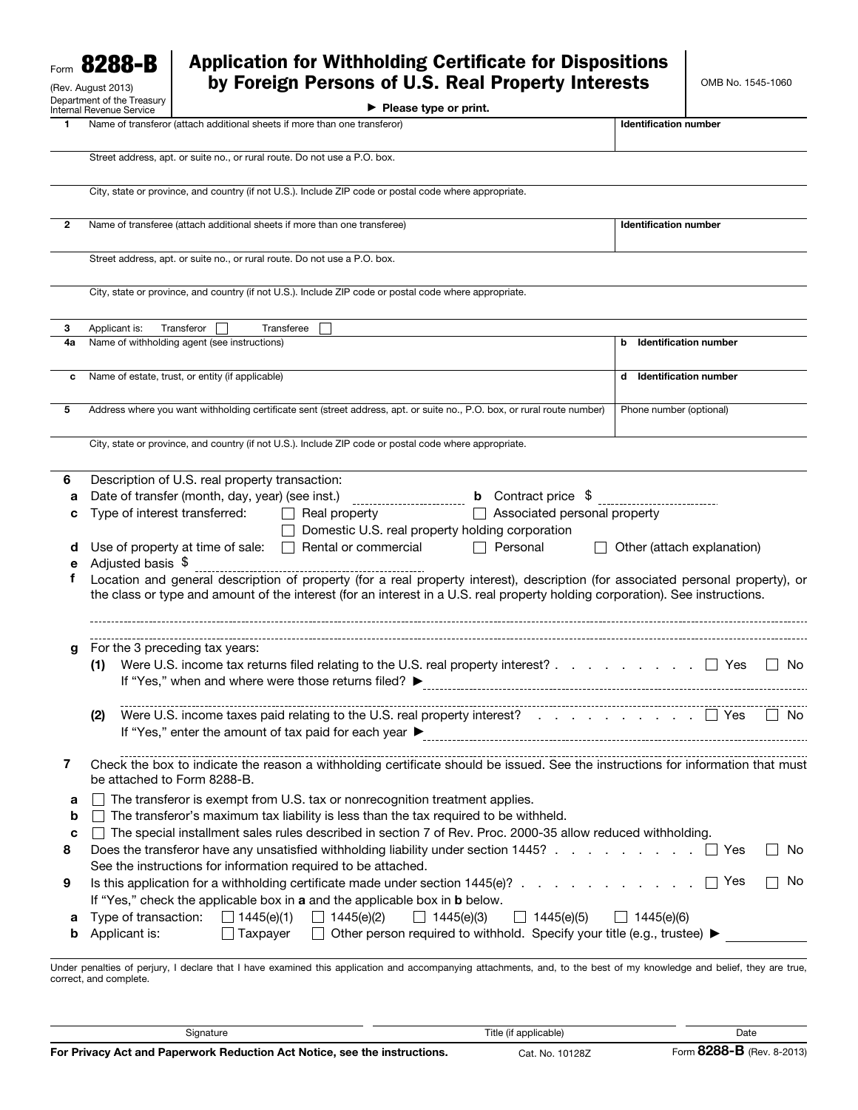| 8288-B<br>Form<br>(Rev. August 2013) |                                                                                                                                                                                             | <b>Application for Withholding Certificate for Dispositions</b><br>by Foreign Persons of U.S. Real Property Interests |                                                                                                                                                                                                                                                                  |                                             |                                                                    |                                                                         | OMB No. 1545-1060                 |              |  |
|--------------------------------------|---------------------------------------------------------------------------------------------------------------------------------------------------------------------------------------------|-----------------------------------------------------------------------------------------------------------------------|------------------------------------------------------------------------------------------------------------------------------------------------------------------------------------------------------------------------------------------------------------------|---------------------------------------------|--------------------------------------------------------------------|-------------------------------------------------------------------------|-----------------------------------|--------------|--|
|                                      | Department of the Treasury<br>Internal Revenue Service                                                                                                                                      |                                                                                                                       |                                                                                                                                                                                                                                                                  | $\blacktriangleright$ Please type or print. |                                                                    |                                                                         |                                   |              |  |
|                                      |                                                                                                                                                                                             |                                                                                                                       | Name of transferor (attach additional sheets if more than one transferor)                                                                                                                                                                                        |                                             |                                                                    | <b>Identification number</b>                                            |                                   |              |  |
|                                      |                                                                                                                                                                                             |                                                                                                                       | Street address, apt. or suite no., or rural route. Do not use a P.O. box.                                                                                                                                                                                        |                                             |                                                                    |                                                                         |                                   |              |  |
|                                      |                                                                                                                                                                                             |                                                                                                                       | City, state or province, and country (if not U.S.). Include ZIP code or postal code where appropriate.                                                                                                                                                           |                                             |                                                                    |                                                                         |                                   |              |  |
|                                      |                                                                                                                                                                                             |                                                                                                                       |                                                                                                                                                                                                                                                                  |                                             |                                                                    |                                                                         |                                   |              |  |
| 2                                    | Name of transferee (attach additional sheets if more than one transferee)                                                                                                                   |                                                                                                                       |                                                                                                                                                                                                                                                                  |                                             |                                                                    |                                                                         | <b>Identification number</b>      |              |  |
|                                      |                                                                                                                                                                                             |                                                                                                                       | Street address, apt. or suite no., or rural route. Do not use a P.O. box.                                                                                                                                                                                        |                                             |                                                                    |                                                                         |                                   |              |  |
|                                      |                                                                                                                                                                                             |                                                                                                                       | City, state or province, and country (if not U.S.). Include ZIP code or postal code where appropriate.                                                                                                                                                           |                                             |                                                                    |                                                                         |                                   |              |  |
| 3                                    | Applicant is:                                                                                                                                                                               | Transferor                                                                                                            | Transferee                                                                                                                                                                                                                                                       |                                             |                                                                    |                                                                         |                                   |              |  |
| 4а                                   | Name of withholding agent (see instructions)                                                                                                                                                |                                                                                                                       |                                                                                                                                                                                                                                                                  |                                             |                                                                    |                                                                         | <b>Identification number</b><br>b |              |  |
| c                                    | Name of estate, trust, or entity (if applicable)                                                                                                                                            |                                                                                                                       |                                                                                                                                                                                                                                                                  |                                             |                                                                    |                                                                         | d Identification number           |              |  |
| 5                                    |                                                                                                                                                                                             |                                                                                                                       | Address where you want withholding certificate sent (street address, apt. or suite no., P.O. box, or rural route number)                                                                                                                                         |                                             |                                                                    | Phone number (optional)                                                 |                                   |              |  |
|                                      |                                                                                                                                                                                             |                                                                                                                       | City, state or province, and country (if not U.S.). Include ZIP code or postal code where appropriate.                                                                                                                                                           |                                             |                                                                    |                                                                         |                                   |              |  |
| 6                                    |                                                                                                                                                                                             | Description of U.S. real property transaction:                                                                        |                                                                                                                                                                                                                                                                  |                                             |                                                                    |                                                                         |                                   |              |  |
| а                                    | Date of transfer (month, day, year) (see inst.)<br><b>b</b> Contract price \$<br>-------------------------<br>Type of interest transferred:<br>Associated personal property                 |                                                                                                                       |                                                                                                                                                                                                                                                                  |                                             |                                                                    |                                                                         |                                   |              |  |
| с                                    |                                                                                                                                                                                             |                                                                                                                       | Real property<br>$\mathbf{L}$                                                                                                                                                                                                                                    |                                             |                                                                    |                                                                         |                                   |              |  |
| d                                    |                                                                                                                                                                                             | Use of property at time of sale:                                                                                      | Rental or commercial<br>$\perp$                                                                                                                                                                                                                                  |                                             | Domestic U.S. real property holding corporation<br>$\Box$ Personal |                                                                         | Other (attach explanation)        |              |  |
| е                                    | Adjusted basis \$                                                                                                                                                                           |                                                                                                                       |                                                                                                                                                                                                                                                                  |                                             |                                                                    |                                                                         |                                   |              |  |
| f                                    |                                                                                                                                                                                             |                                                                                                                       | Location and general description of property (for a real property interest), description (for associated personal property), or<br>the class or type and amount of the interest (for an interest in a U.S. real property holding corporation). See instructions. |                                             |                                                                    |                                                                         |                                   |              |  |
| g                                    | For the 3 preceding tax years:<br>Were U.S. income tax returns filed relating to the U.S. real property interest?<br>(1)<br>∣ ∣ Yes<br>If "Yes," when and where were those returns filed? ▶ |                                                                                                                       |                                                                                                                                                                                                                                                                  |                                             |                                                                    |                                                                         |                                   | No.          |  |
|                                      | (2)                                                                                                                                                                                         |                                                                                                                       | Were U.S. income taxes paid relating to the U.S. real property interest? $\ldots$ $\ldots$ $\ldots$ $\ldots$ $\Box$ Yes<br>If "Yes," enter the amount of tax paid for each year $\blacktriangleright$                                                            |                                             |                                                                    |                                                                         |                                   | $\vert$   No |  |
| 7                                    |                                                                                                                                                                                             | be attached to Form 8288-B.                                                                                           | Check the box to indicate the reason a withholding certificate should be issued. See the instructions for information that must                                                                                                                                  |                                             |                                                                    |                                                                         |                                   |              |  |
| a                                    |                                                                                                                                                                                             |                                                                                                                       | The transferor is exempt from U.S. tax or nonrecognition treatment applies.                                                                                                                                                                                      |                                             |                                                                    |                                                                         |                                   |              |  |
| b                                    |                                                                                                                                                                                             |                                                                                                                       | The transferor's maximum tax liability is less than the tax required to be withheld.                                                                                                                                                                             |                                             |                                                                    |                                                                         |                                   |              |  |
| c                                    |                                                                                                                                                                                             |                                                                                                                       | □ The special installment sales rules described in section 7 of Rev. Proc. 2000-35 allow reduced withholding.                                                                                                                                                    |                                             |                                                                    |                                                                         |                                   |              |  |
| 8                                    |                                                                                                                                                                                             |                                                                                                                       | See the instructions for information required to be attached.                                                                                                                                                                                                    |                                             |                                                                    |                                                                         |                                   | No.          |  |
| 9                                    |                                                                                                                                                                                             |                                                                                                                       | Is this application for a withholding certificate made under section 1445(e)?<br>If "Yes," check the applicable box in a and the applicable box in <b>b</b> below.                                                                                               |                                             |                                                                    |                                                                         | Yes                               | No.          |  |
| а                                    |                                                                                                                                                                                             | Type of transaction: $\Box$ 1445(e)(1)                                                                                | 1445(e)(2)                                                                                                                                                                                                                                                       | $\Box$ 1445(e)(3)                           | $\Box$ 1445(e)(5)                                                  | $\Box$ 1445(e)(6)                                                       |                                   |              |  |
| b                                    | Applicant is:                                                                                                                                                                               | $\Box$ Taxpayer                                                                                                       | $\perp$                                                                                                                                                                                                                                                          |                                             |                                                                    | Other person required to withhold. Specify your title (e.g., trustee) ▶ |                                   |              |  |
|                                      | correct, and complete.                                                                                                                                                                      |                                                                                                                       | Under penalties of perjury, I declare that I have examined this application and accompanying attachments, and, to the best of my knowledge and belief, they are true,                                                                                            |                                             |                                                                    |                                                                         |                                   |              |  |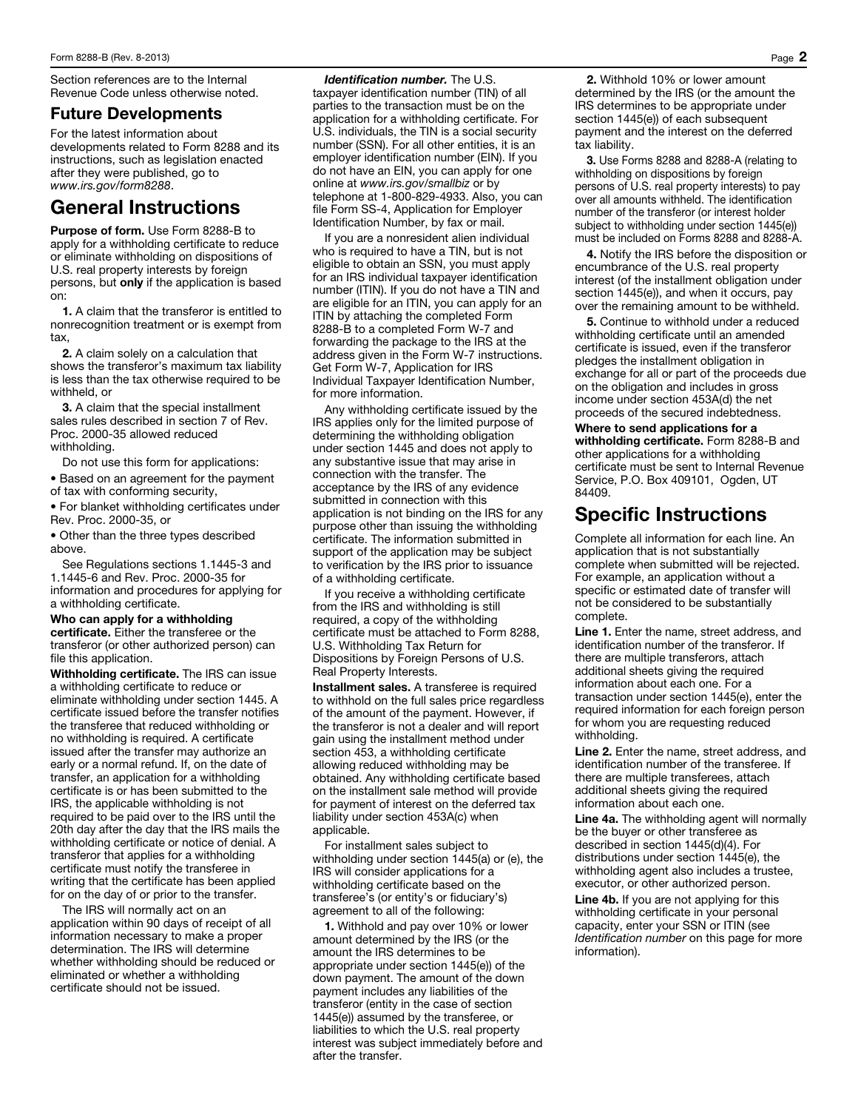Section references are to the Internal Revenue Code unless otherwise noted.

## Future Developments

For the latest information about developments related to Form 8288 and its instructions, such as legislation enacted after they were published, go to *www.irs.gov/form8288*.

## General Instructions

Purpose of form. Use Form 8288-B to apply for a withholding certificate to reduce or eliminate withholding on dispositions of U.S. real property interests by foreign persons, but only if the application is based on:

1. A claim that the transferor is entitled to nonrecognition treatment or is exempt from tax,

2. A claim solely on a calculation that shows the transferor's maximum tax liability is less than the tax otherwise required to be withheld, or

**3.** A claim that the special installment sales rules described in section 7 of Rev. Proc. 2000-35 allowed reduced withholding.

Do not use this form for applications:

• Based on an agreement for the payment of tax with conforming security,

• For blanket withholding certificates under Rev. Proc. 2000-35, or

• Other than the three types described above.

See Regulations sections 1.1445-3 and 1.1445-6 and Rev. Proc. 2000-35 for information and procedures for applying for a withholding certificate.

## Who can apply for a withholding

certificate. Either the transferee or the transferor (or other authorized person) can file this application.

Withholding certificate. The IRS can issue a withholding certificate to reduce or eliminate withholding under section 1445. A certificate issued before the transfer notifies the transferee that reduced withholding or no withholding is required. A certificate issued after the transfer may authorize an early or a normal refund. If, on the date of transfer, an application for a withholding certificate is or has been submitted to the IRS, the applicable withholding is not required to be paid over to the IRS until the 20th day after the day that the IRS mails the withholding certificate or notice of denial. A transferor that applies for a withholding certificate must notify the transferee in writing that the certificate has been applied for on the day of or prior to the transfer.

The IRS will normally act on an application within 90 days of receipt of all information necessary to make a proper determination. The IRS will determine whether withholding should be reduced or eliminated or whether a withholding certificate should not be issued.

*Identification number.* The U.S. taxpayer identification number (TIN) of all parties to the transaction must be on the application for a withholding certificate. For U.S. individuals, the TIN is a social security number (SSN). For all other entities, it is an employer identification number (EIN). If you do not have an EIN, you can apply for one online at *www.irs.gov/smallbiz* or by telephone at 1-800-829-4933. Also, you can file Form SS-4, Application for Employer Identification Number, by fax or mail.

If you are a nonresident alien individual who is required to have a TIN, but is not eligible to obtain an SSN, you must apply for an IRS individual taxpayer identification number (ITIN). If you do not have a TIN and are eligible for an ITIN, you can apply for an ITIN by attaching the completed Form 8288-B to a completed Form W-7 and forwarding the package to the IRS at the address given in the Form W-7 instructions. Get Form W-7, Application for IRS Individual Taxpayer Identification Number, for more information.

Any withholding certificate issued by the IRS applies only for the limited purpose of determining the withholding obligation under section 1445 and does not apply to any substantive issue that may arise in connection with the transfer. The acceptance by the IRS of any evidence submitted in connection with this application is not binding on the IRS for any purpose other than issuing the withholding certificate. The information submitted in support of the application may be subject to verification by the IRS prior to issuance of a withholding certificate.

If you receive a withholding certificate from the IRS and withholding is still required, a copy of the withholding certificate must be attached to Form 8288, U.S. Withholding Tax Return for Dispositions by Foreign Persons of U.S. Real Property Interests.

Installment sales. A transferee is required to withhold on the full sales price regardless of the amount of the payment. However, if the transferor is not a dealer and will report gain using the installment method under section 453, a withholding certificate allowing reduced withholding may be obtained. Any withholding certificate based on the installment sale method will provide for payment of interest on the deferred tax liability under section 453A(c) when applicable.

For installment sales subject to withholding under section 1445(a) or (e), the IRS will consider applications for a withholding certificate based on the transferee's (or entity's or fiduciary's) agreement to all of the following:

1. Withhold and pay over 10% or lower amount determined by the IRS (or the amount the IRS determines to be appropriate under section 1445(e)) of the down payment. The amount of the down payment includes any liabilities of the transferor (entity in the case of section 1445(e)) assumed by the transferee, or liabilities to which the U.S. real property interest was subject immediately before and after the transfer.

2. Withhold 10% or lower amount determined by the IRS (or the amount the IRS determines to be appropriate under section 1445(e)) of each subsequent payment and the interest on the deferred tax liability.

3. Use Forms 8288 and 8288-A (relating to withholding on dispositions by foreign persons of U.S. real property interests) to pay over all amounts withheld. The identification number of the transferor (or interest holder subject to withholding under section 1445(e)) must be included on Forms 8288 and 8288-A.

4. Notify the IRS before the disposition or encumbrance of the U.S. real property interest (of the installment obligation under section 1445(e)), and when it occurs, pay over the remaining amount to be withheld.

5. Continue to withhold under a reduced withholding certificate until an amended certificate is issued, even if the transferor pledges the installment obligation in exchange for all or part of the proceeds due on the obligation and includes in gross income under section 453A(d) the net proceeds of the secured indebtedness.

Where to send applications for a withholding certificate. Form 8288-B and other applications for a withholding certificate must be sent to Internal Revenue Service, P.O. Box 409101, Ogden, UT 84409.

## Specific Instructions

Complete all information for each line. An application that is not substantially complete when submitted will be rejected. For example, an application without a specific or estimated date of transfer will not be considered to be substantially complete.

Line 1. Enter the name, street address, and identification number of the transferor. If there are multiple transferors, attach additional sheets giving the required information about each one. For a transaction under section 1445(e), enter the required information for each foreign person for whom you are requesting reduced withholding.

Line 2. Enter the name, street address, and identification number of the transferee. If there are multiple transferees, attach additional sheets giving the required information about each one.

Line 4a. The withholding agent will normally be the buyer or other transferee as described in section 1445(d)(4). For distributions under section 1445(e), the withholding agent also includes a trustee, executor, or other authorized person.

Line 4b. If you are not applying for this withholding certificate in your personal capacity, enter your SSN or ITIN (see *Identification number* on this page for more information).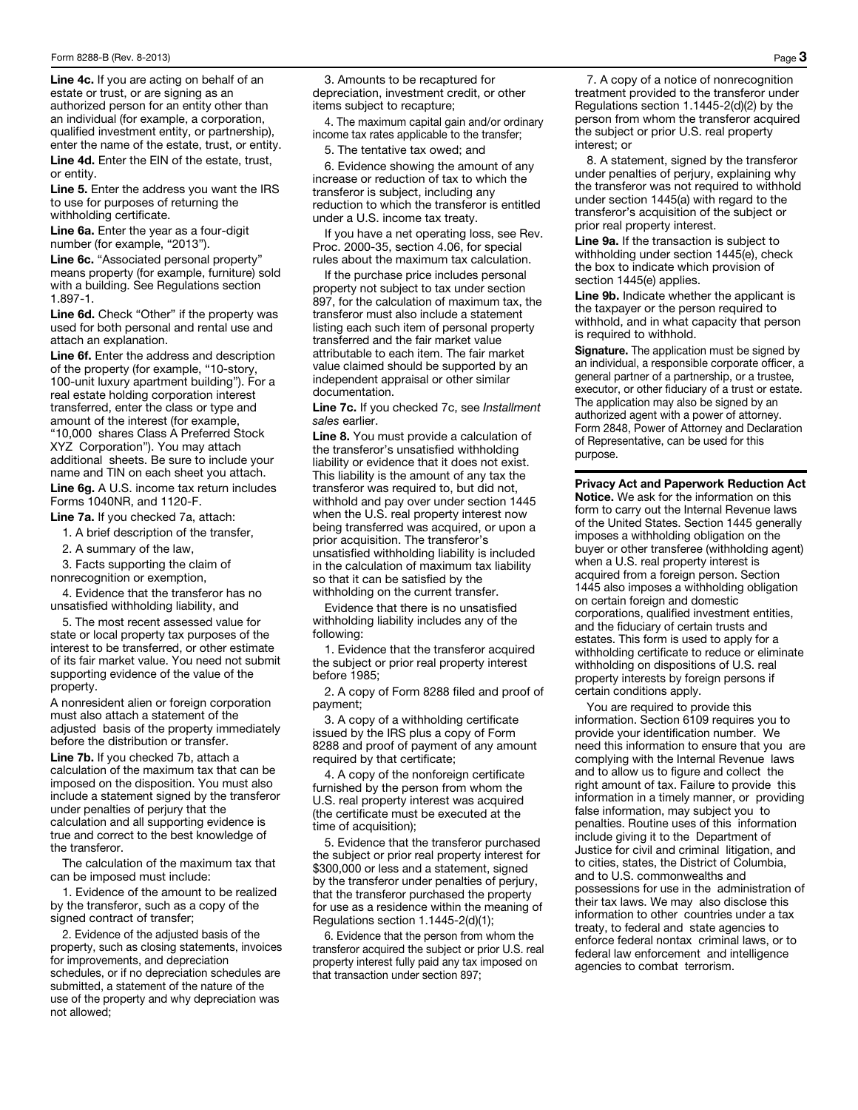Line 4c. If you are acting on behalf of an estate or trust, or are signing as an authorized person for an entity other than an individual (for example, a corporation, qualified investment entity, or partnership), enter the name of the estate, trust, or entity.

Line 4d. Enter the EIN of the estate, trust, or entity.

Line 5. Enter the address you want the IRS to use for purposes of returning the withholding certificate.

Line 6a. Enter the year as a four-digit number (for example, "2013").

Line 6c. "Associated personal property" means property (for example, furniture) sold with a building. See Regulations section 1.897-1.

Line 6d. Check "Other" if the property was used for both personal and rental use and attach an explanation.

Line 6f. Enter the address and description of the property (for example, "10-story, 100-unit luxury apartment building"). For a real estate holding corporation interest transferred, enter the class or type and amount of the interest (for example, "10,000 shares Class A Preferred Stock XYZ Corporation"). You may attach additional sheets. Be sure to include your name and TIN on each sheet you attach. Line 6g. A U.S. income tax return includes Forms 1040NR, and 1120-F.

Line 7a. If you checked 7a, attach:

1. A brief description of the transfer,

2. A summary of the law,

3. Facts supporting the claim of

nonrecognition or exemption,

4. Evidence that the transferor has no unsatisfied withholding liability, and

5. The most recent assessed value for state or local property tax purposes of the interest to be transferred, or other estimate of its fair market value. You need not submit supporting evidence of the value of the property.

A nonresident alien or foreign corporation must also attach a statement of the adjusted basis of the property immediately before the distribution or transfer.

Line 7b. If you checked 7b, attach a calculation of the maximum tax that can be imposed on the disposition. You must also include a statement signed by the transferor under penalties of perjury that the calculation and all supporting evidence is true and correct to the best knowledge of the transferor.

The calculation of the maximum tax that can be imposed must include:

1. Evidence of the amount to be realized by the transferor, such as a copy of the signed contract of transfer;

2. Evidence of the adjusted basis of the property, such as closing statements, invoices for improvements, and depreciation schedules, or if no depreciation schedules are submitted, a statement of the nature of the use of the property and why depreciation was not allowed;

3. Amounts to be recaptured for depreciation, investment credit, or other items subject to recapture;

4. The maximum capital gain and/or ordinary income tax rates applicable to the transfer;

5. The tentative tax owed; and

6. Evidence showing the amount of any increase or reduction of tax to which the transferor is subject, including any reduction to which the transferor is entitled under a U.S. income tax treaty.

If you have a net operating loss, see Rev. Proc. 2000-35, section 4.06, for special rules about the maximum tax calculation.

If the purchase price includes personal property not subject to tax under section 897, for the calculation of maximum tax, the transferor must also include a statement listing each such item of personal property transferred and the fair market value attributable to each item. The fair market value claimed should be supported by an independent appraisal or other similar documentation.

Line 7c. If you checked 7c, see *Installment sales* earlier.

Line 8. You must provide a calculation of the transferor's unsatisfied withholding liability or evidence that it does not exist. This liability is the amount of any tax the transferor was required to, but did not, withhold and pay over under section 1445 when the U.S. real property interest now being transferred was acquired, or upon a prior acquisition. The transferor's unsatisfied withholding liability is included in the calculation of maximum tax liability so that it can be satisfied by the withholding on the current transfer.

Evidence that there is no unsatisfied withholding liability includes any of the following:

1. Evidence that the transferor acquired the subject or prior real property interest before 1985;

2. A copy of Form 8288 filed and proof of payment;

3. A copy of a withholding certificate issued by the IRS plus a copy of Form 8288 and proof of payment of any amount required by that certificate;

4. A copy of the nonforeign certificate furnished by the person from whom the U.S. real property interest was acquired (the certificate must be executed at the time of acquisition);

5. Evidence that the transferor purchased the subject or prior real property interest for \$300,000 or less and a statement, signed by the transferor under penalties of perjury, that the transferor purchased the property for use as a residence within the meaning of Regulations section 1.1445-2(d)(1);

6. Evidence that the person from whom the transferor acquired the subject or prior U.S. real property interest fully paid any tax imposed on that transaction under section 897;

7. A copy of a notice of nonrecognition treatment provided to the transferor under Regulations section 1.1445-2(d)(2) by the person from whom the transferor acquired the subject or prior U.S. real property interest; or

8. A statement, signed by the transferor under penalties of perjury, explaining why the transferor was not required to withhold under section 1445(a) with regard to the transferor's acquisition of the subject or prior real property interest.

Line 9a. If the transaction is subject to withholding under section 1445(e), check the box to indicate which provision of section 1445(e) applies.

Line 9b. Indicate whether the applicant is the taxpayer or the person required to withhold, and in what capacity that person is required to withhold.

Signature. The application must be signed by an individual, a responsible corporate officer, a general partner of a partnership, or a trustee, executor, or other fiduciary of a trust or estate. The application may also be signed by an authorized agent with a power of attorney. Form 2848, Power of Attorney and Declaration of Representative, can be used for this purpose.

Privacy Act and Paperwork Reduction Act Notice. We ask for the information on this form to carry out the Internal Revenue laws of the United States. Section 1445 generally imposes a withholding obligation on the buyer or other transferee (withholding agent) when a U.S. real property interest is acquired from a foreign person. Section 1445 also imposes a withholding obligation on certain foreign and domestic corporations, qualified investment entities, and the fiduciary of certain trusts and estates. This form is used to apply for a withholding certificate to reduce or eliminate withholding on dispositions of U.S. real property interests by foreign persons if certain conditions apply.

You are required to provide this information. Section 6109 requires you to provide your identification number. We need this information to ensure that you are complying with the Internal Revenue laws and to allow us to figure and collect the right amount of tax. Failure to provide this information in a timely manner, or providing false information, may subject you to penalties. Routine uses of this information include giving it to the Department of Justice for civil and criminal litigation, and to cities, states, the District of Columbia, and to U.S. commonwealths and possessions for use in the administration of their tax laws. We may also disclose this information to other countries under a tax treaty, to federal and state agencies to enforce federal nontax criminal laws, or to federal law enforcement and intelligence agencies to combat terrorism.